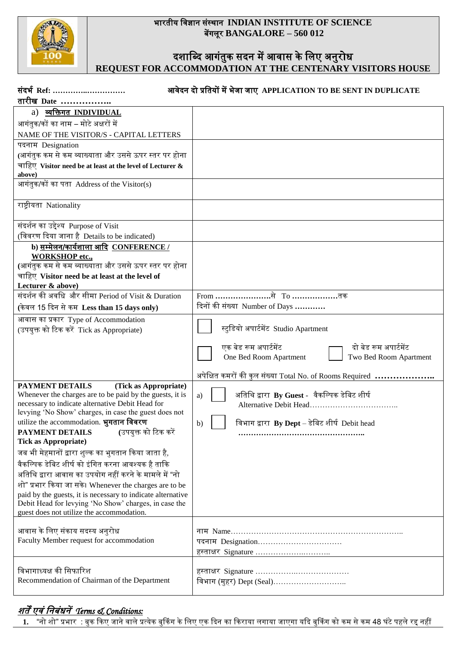

### भारतीय विज्ञान संस्थान **INDIAN INSTITUTE OF SCIENCE** बेंगलूर **BANGALORE – 560 012**

### दशाब्दि आगंतुक सदन में आवास के लिए अनुरोध **REQUEST FOR ACCOMMODATION AT THE CENTENARY VISITORS HOUSE**

and a

| संदर्भ Ref:                                                                                                           | आवेदन दो प्रतियों में भेजा जाए APPLICATION TO BE SENT IN DUPLICATE |
|-----------------------------------------------------------------------------------------------------------------------|--------------------------------------------------------------------|
| तारीख Date                                                                                                            |                                                                    |
| a) व्यक्तिगत INDIVIDUAL                                                                                               |                                                                    |
| आगंतुक/कों का नाम – मोटे अक्षरों में                                                                                  |                                                                    |
| NAME OF THE VISITOR/S - CAPITAL LETTERS                                                                               |                                                                    |
| पदनाम Designation                                                                                                     |                                                                    |
| (आगंतुक कम से कम व्याख्याता और उससे ऊपर स्तर पर होना                                                                  |                                                                    |
| चाहिए Visitor need be at least at the level of Lecturer &                                                             |                                                                    |
| above)                                                                                                                |                                                                    |
| आगंतुक/कों का पता Address of the Visitor(s)                                                                           |                                                                    |
|                                                                                                                       |                                                                    |
| राष्ट्रीयता Nationality                                                                                               |                                                                    |
|                                                                                                                       |                                                                    |
| संदर्शन का उद्देश्य Purpose of Visit                                                                                  |                                                                    |
| (विवरण दिया जाना है Details to be indicated)                                                                          |                                                                    |
| b) सम्मेलन/कार्यशाला आदि CONFERENCE /                                                                                 |                                                                    |
| <b>WORKSHOP</b> etc.,                                                                                                 |                                                                    |
| (आगंतुक कम से कम व्याख्याता और उससे ऊपर स्तर पर होना                                                                  |                                                                    |
| चाहिए Visitor need be at least at the level of                                                                        |                                                                    |
| Lecturer & above)                                                                                                     |                                                                    |
| संदर्शन की अवधि और सीमा Period of Visit & Duration                                                                    | From ………………………से   То ……………………तक                                   |
| (केवल 15 दिन से कम Less than 15 days only)                                                                            | दिनों की संख्या Number of Days                                     |
| आवास का प्रकार Type of Accommodation                                                                                  |                                                                    |
| (उपयुक्त को टिक करें Tick as Appropriate)                                                                             | स्टुडियो अपार्टमेंट Studio Apartment                               |
|                                                                                                                       |                                                                    |
|                                                                                                                       | एक बेड रूम अपार्टमेंट<br>दो बेड रूम अपार्टमेंट                     |
|                                                                                                                       | Two Bed Room Apartment<br>One Bed Room Apartment                   |
|                                                                                                                       |                                                                    |
|                                                                                                                       | अपेक्षित कमरों की कुल संख्या Total No. of Rooms Required           |
| PAYMENT DETAILS<br>(Tick as Appropriate)                                                                              |                                                                    |
| Whenever the charges are to be paid by the guests, it is<br>necessary to indicate alternative Debit Head for          | अतिथि द्वारा By Guest -  वैकल्पिक डेबिट शीर्ष<br>a)                |
| levying 'No Show' charges, in case the guest does not                                                                 |                                                                    |
| utilize the accommodation. भुगतान विवरण                                                                               | विभाग द्वारा $By$ Dept – डेबिट शीर्ष Debit head<br>b)              |
| PAYMENT DETAILS (उपयुक्त को टिक करें                                                                                  |                                                                    |
| <b>Tick as Appropriate)</b>                                                                                           |                                                                    |
| जब भी मेहमानों द्वारा शुल्क का भुगतान किया जाता है,                                                                   |                                                                    |
| वैकल्पिक डेबिट शीर्ष को इंगित करना आवश्यक है ताकि                                                                     |                                                                    |
| अतिथि द्वारा आवास का उपयोग नहीं करने के मामले में "नो                                                                 |                                                                    |
|                                                                                                                       |                                                                    |
| शो" प्रभार किया जा सके। Whenever the charges are to be<br>paid by the guests, it is necessary to indicate alternative |                                                                    |
| Debit Head for levying 'No Show' charges, in case the                                                                 |                                                                    |
| guest does not utilize the accommodation.                                                                             |                                                                    |
|                                                                                                                       |                                                                    |
| आवास के लिए संकाय सदस्य अनुरोध                                                                                        |                                                                    |
| Faculty Member request for accommodation                                                                              | पदनाम Designation                                                  |
|                                                                                                                       | हस्ताक्षर Signature                                                |
|                                                                                                                       |                                                                    |
| विभागाध्यक्ष की सिफारिश                                                                                               |                                                                    |
| Recommendation of Chairman of the Department                                                                          | विभाग (मुहर) Dept (Seal)                                           |
|                                                                                                                       |                                                                    |

## शतें एिं वनबंधनें*Terms & Conditions:*

. "नो शो" प्रभार : बुक किए जाने वाले प्रत्येक बुकिंग के लिए एक दिन का किराया लगाया जाएगा यदि बुकिंग को कम से कम 48 घंटे पहले रद्द नहीं